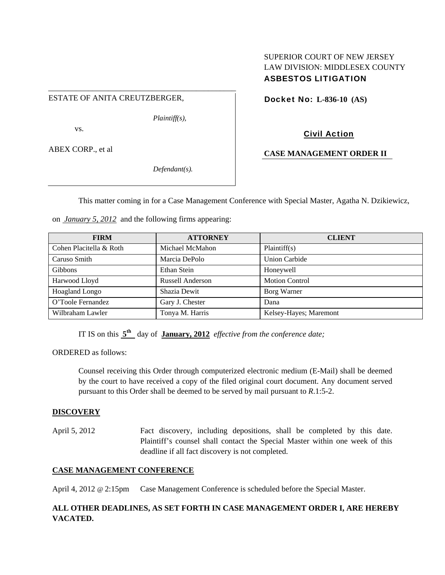## SUPERIOR COURT OF NEW JERSEY LAW DIVISION: MIDDLESEX COUNTY ASBESTOS LITIGATION

ESTATE OF ANITA CREUTZBERGER,

*Plaintiff(s),* 

vs.

ABEX CORP., et al

*Defendant(s).* 

Docket No: **L-836-10 (AS)** 

Civil Action

**CASE MANAGEMENT ORDER II** 

This matter coming in for a Case Management Conference with Special Master, Agatha N. Dzikiewicz,

on *January 5, 2012* and the following firms appearing:

\_\_\_\_\_\_\_\_\_\_\_\_\_\_\_\_\_\_\_\_\_\_\_\_\_\_\_\_\_\_\_\_\_\_\_\_\_\_\_\_\_\_\_\_\_\_\_

| <b>FIRM</b>             | <b>ATTORNEY</b>         | <b>CLIENT</b>          |
|-------------------------|-------------------------|------------------------|
| Cohen Placitella & Roth | Michael McMahon         | Plaintiff(s)           |
| Caruso Smith            | Marcia DePolo           | <b>Union Carbide</b>   |
| <b>Gibbons</b>          | Ethan Stein             | Honeywell              |
| Harwood Lloyd           | <b>Russell Anderson</b> | <b>Motion Control</b>  |
| Hoagland Longo          | Shazia Dewit            | Borg Warner            |
| O'Toole Fernandez       | Gary J. Chester         | Dana                   |
| Wilbraham Lawler        | Tonya M. Harris         | Kelsey-Hayes; Maremont |

IT IS on this **5th** day of **January, 2012** *effective from the conference date;*

ORDERED as follows:

Counsel receiving this Order through computerized electronic medium (E-Mail) shall be deemed by the court to have received a copy of the filed original court document. Any document served pursuant to this Order shall be deemed to be served by mail pursuant to *R*.1:5-2.

## **DISCOVERY**

April 5, 2012 Fact discovery, including depositions, shall be completed by this date. Plaintiff's counsel shall contact the Special Master within one week of this deadline if all fact discovery is not completed.

## **CASE MANAGEMENT CONFERENCE**

April 4, 2012 @ 2:15pm Case Management Conference is scheduled before the Special Master.

## **ALL OTHER DEADLINES, AS SET FORTH IN CASE MANAGEMENT ORDER I, ARE HEREBY VACATED.**